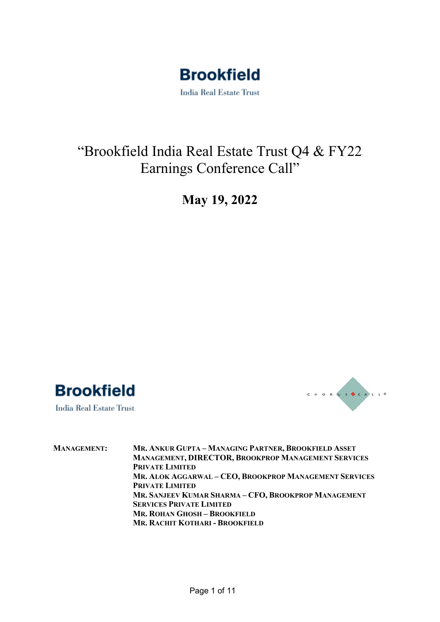

### "Brookfield India Real Estate Trust Q4 & FY22 Earnings Conference Call"

### **May 19, 2022**



**India Real Estate Trust** 



**MANAGEMENT: MR. ANKUR GUPTA – MANAGING PARTNER, BROOKFIELD ASSET MANAGEMENT, DIRECTOR, BROOKPROP MANAGEMENT SERVICES PRIVATE LIMITED MR. ALOK AGGARWAL – CEO, BROOKPROP MANAGEMENT SERVICES PRIVATE LIMITED MR. SANJEEV KUMAR SHARMA – CFO, BROOKPROP MANAGEMENT SERVICES PRIVATE LIMITED MR. ROHAN GHOSH – BROOKFIELD MR. RACHIT KOTHARI - BROOKFIELD**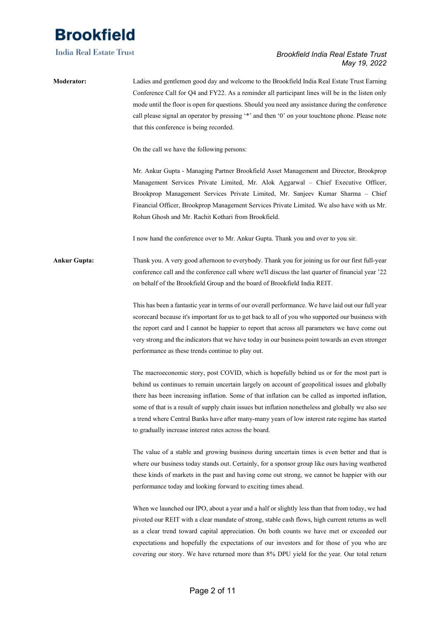**India Real Estate Trust** 

### *Brookfield India Real Estate Trust May 19, 2022*

### **Moderator:** Ladies and gentlemen good day and welcome to the Brookfield India Real Estate Trust Earning Conference Call for Q4 and FY22. As a reminder all participant lines will be in the listen only mode until the floor is open for questions. Should you need any assistance during the conference call please signal an operator by pressing '\*' and then '0' on your touchtone phone. Please note that this conference is being recorded.

On the call we have the following persons:

Mr. Ankur Gupta - Managing Partner Brookfield Asset Management and Director, Brookprop Management Services Private Limited, Mr. Alok Aggarwal – Chief Executive Officer, Brookprop Management Services Private Limited, Mr. Sanjeev Kumar Sharma – Chief Financial Officer, Brookprop Management Services Private Limited. We also have with us Mr. Rohan Ghosh and Mr. Rachit Kothari from Brookfield.

I now hand the conference over to Mr. Ankur Gupta. Thank you and over to you sir.

### **Ankur Gupta:** Thank you. A very good afternoon to everybody. Thank you for joining us for our first full-year conference call and the conference call where we'll discuss the last quarter of financial year '22 on behalf of the Brookfield Group and the board of Brookfield India REIT.

This has been a fantastic year in terms of our overall performance. We have laid out our full year scorecard because it's important for us to get back to all of you who supported our business with the report card and I cannot be happier to report that across all parameters we have come out very strong and the indicators that we have today in our business point towards an even stronger performance as these trends continue to play out.

The macroeconomic story, post COVID, which is hopefully behind us or for the most part is behind us continues to remain uncertain largely on account of geopolitical issues and globally there has been increasing inflation. Some of that inflation can be called as imported inflation, some of that is a result of supply chain issues but inflation nonetheless and globally we also see a trend where Central Banks have after many-many years of low interest rate regime has started to gradually increase interest rates across the board.

The value of a stable and growing business during uncertain times is even better and that is where our business today stands out. Certainly, for a sponsor group like ours having weathered these kinds of markets in the past and having come out strong, we cannot be happier with our performance today and looking forward to exciting times ahead.

When we launched our IPO, about a year and a half or slightly less than that from today, we had pivoted our REIT with a clear mandate of strong, stable cash flows, high current returns as well as a clear trend toward capital appreciation. On both counts we have met or exceeded our expectations and hopefully the expectations of our investors and for those of you who are covering our story. We have returned more than 8% DPU yield for the year. Our total return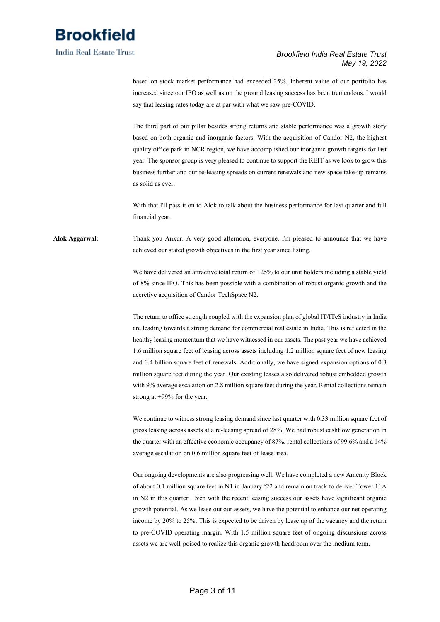

### *Brookfield India Real Estate Trust May 19, 2022*

based on stock market performance had exceeded 25%. Inherent value of our portfolio has increased since our IPO as well as on the ground leasing success has been tremendous. I would say that leasing rates today are at par with what we saw pre-COVID.

The third part of our pillar besides strong returns and stable performance was a growth story based on both organic and inorganic factors. With the acquisition of Candor N2, the highest quality office park in NCR region, we have accomplished our inorganic growth targets for last year. The sponsor group is very pleased to continue to support the REIT as we look to grow this business further and our re-leasing spreads on current renewals and new space take-up remains as solid as ever.

With that I'll pass it on to Alok to talk about the business performance for last quarter and full financial year.

**Alok Aggarwal:** Thank you Ankur. A very good afternoon, everyone. I'm pleased to announce that we have achieved our stated growth objectives in the first year since listing.

> We have delivered an attractive total return of +25% to our unit holders including a stable yield of 8% since IPO. This has been possible with a combination of robust organic growth and the accretive acquisition of Candor TechSpace N2.

> The return to office strength coupled with the expansion plan of global IT/ITeS industry in India are leading towards a strong demand for commercial real estate in India. This is reflected in the healthy leasing momentum that we have witnessed in our assets. The past year we have achieved 1.6 million square feet of leasing across assets including 1.2 million square feet of new leasing and 0.4 billion square feet of renewals. Additionally, we have signed expansion options of 0.3 million square feet during the year. Our existing leases also delivered robust embedded growth with 9% average escalation on 2.8 million square feet during the year. Rental collections remain strong at +99% for the year.

> We continue to witness strong leasing demand since last quarter with 0.33 million square feet of gross leasing across assets at a re-leasing spread of 28%. We had robust cashflow generation in the quarter with an effective economic occupancy of 87%, rental collections of 99.6% and a 14% average escalation on 0.6 million square feet of lease area.

> Our ongoing developments are also progressing well. We have completed a new Amenity Block of about 0.1 million square feet in N1 in January '22 and remain on track to deliver Tower 11A in N2 in this quarter. Even with the recent leasing success our assets have significant organic growth potential. As we lease out our assets, we have the potential to enhance our net operating income by 20% to 25%. This is expected to be driven by lease up of the vacancy and the return to pre-COVID operating margin. With 1.5 million square feet of ongoing discussions across assets we are well-poised to realize this organic growth headroom over the medium term.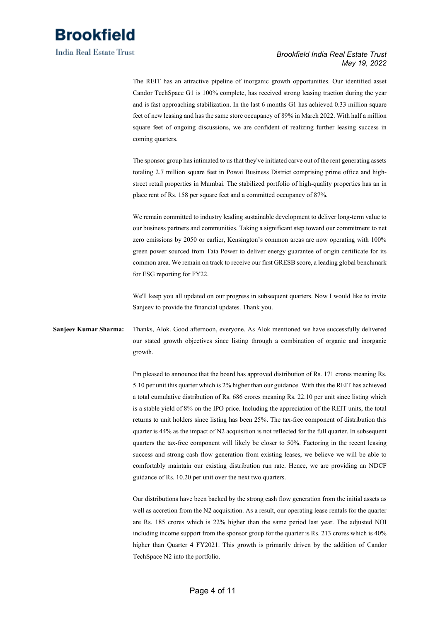

*Brookfield India Real Estate Trust May 19, 2022*

The REIT has an attractive pipeline of inorganic growth opportunities. Our identified asset Candor TechSpace G1 is 100% complete, has received strong leasing traction during the year and is fast approaching stabilization. In the last 6 months G1 has achieved 0.33 million square feet of new leasing and has the same store occupancy of 89% in March 2022. With half a million square feet of ongoing discussions, we are confident of realizing further leasing success in coming quarters.

The sponsor group has intimated to us that they've initiated carve out of the rent generating assets totaling 2.7 million square feet in Powai Business District comprising prime office and highstreet retail properties in Mumbai. The stabilized portfolio of high-quality properties has an in place rent of Rs. 158 per square feet and a committed occupancy of 87%.

We remain committed to industry leading sustainable development to deliver long-term value to our business partners and communities. Taking a significant step toward our commitment to net zero emissions by 2050 or earlier, Kensington's common areas are now operating with 100% green power sourced from Tata Power to deliver energy guarantee of origin certificate for its common area. We remain on track to receive our first GRESB score, a leading global benchmark for ESG reporting for FY22.

We'll keep you all updated on our progress in subsequent quarters. Now I would like to invite Sanjeev to provide the financial updates. Thank you.

**Sanjeev Kumar Sharma:** Thanks, Alok. Good afternoon, everyone. As Alok mentioned we have successfully delivered our stated growth objectives since listing through a combination of organic and inorganic growth.

> I'm pleased to announce that the board has approved distribution of Rs. 171 crores meaning Rs. 5.10 per unit this quarter which is 2% higher than our guidance. With this the REIT has achieved a total cumulative distribution of Rs. 686 crores meaning Rs. 22.10 per unit since listing which is a stable yield of 8% on the IPO price. Including the appreciation of the REIT units, the total returns to unit holders since listing has been 25%. The tax-free component of distribution this quarter is 44% as the impact of N2 acquisition is not reflected for the full quarter. In subsequent quarters the tax-free component will likely be closer to 50%. Factoring in the recent leasing success and strong cash flow generation from existing leases, we believe we will be able to comfortably maintain our existing distribution run rate. Hence, we are providing an NDCF guidance of Rs. 10.20 per unit over the next two quarters.

> Our distributions have been backed by the strong cash flow generation from the initial assets as well as accretion from the N2 acquisition. As a result, our operating lease rentals for the quarter are Rs. 185 crores which is 22% higher than the same period last year. The adjusted NOI including income support from the sponsor group for the quarter is Rs. 213 crores which is 40% higher than Quarter 4 FY2021. This growth is primarily driven by the addition of Candor TechSpace N2 into the portfolio.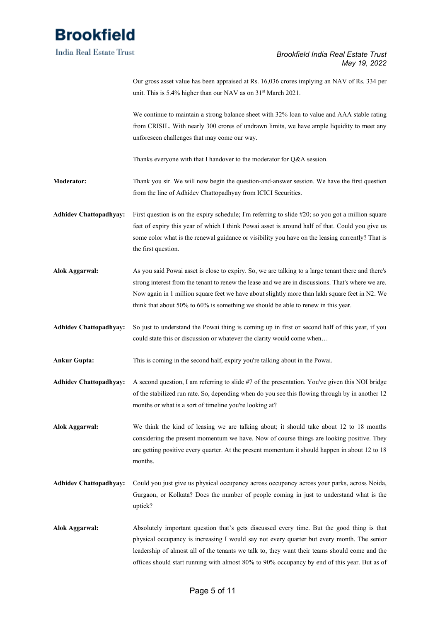

### *Brookfield India Real Estate Trust May 19, 2022*

Our gross asset value has been appraised at Rs. 16,036 crores implying an NAV of Rs. 334 per unit. This is 5.4% higher than our NAV as on 31<sup>st</sup> March 2021. We continue to maintain a strong balance sheet with 32% loan to value and AAA stable rating from CRISIL. With nearly 300 crores of undrawn limits, we have ample liquidity to meet any unforeseen challenges that may come our way. Thanks everyone with that I handover to the moderator for Q&A session. **Moderator:** Thank you sir. We will now begin the question-and-answer session. We have the first question from the line of Adhidev Chattopadhyay from ICICI Securities. **Adhidev Chattopadhyay:** First question is on the expiry schedule; I'm referring to slide #20; so you got a million square feet of expiry this year of which I think Powai asset is around half of that. Could you give us some color what is the renewal guidance or visibility you have on the leasing currently? That is the first question. **Alok Aggarwal:** As you said Powai asset is close to expiry. So, we are talking to a large tenant there and there's strong interest from the tenant to renew the lease and we are in discussions. That's where we are. Now again in 1 million square feet we have about slightly more than lakh square feet in N2. We think that about 50% to 60% is something we should be able to renew in this year. **Adhidev Chattopadhyay:** So just to understand the Powai thing is coming up in first or second half of this year, if you could state this or discussion or whatever the clarity would come when… **Ankur Gupta:** This is coming in the second half, expiry you're talking about in the Powai. **Adhidev Chattopadhyay:** A second question, I am referring to slide #7 of the presentation. You've given this NOI bridge of the stabilized run rate. So, depending when do you see this flowing through by in another 12 months or what is a sort of timeline you're looking at? **Alok Aggarwal:** We think the kind of leasing we are talking about; it should take about 12 to 18 months considering the present momentum we have. Now of course things are looking positive. They are getting positive every quarter. At the present momentum it should happen in about 12 to 18 months. **Adhidev Chattopadhyay:** Could you just give us physical occupancy across occupancy across your parks, across Noida, Gurgaon, or Kolkata? Does the number of people coming in just to understand what is the uptick?

**Alok Aggarwal:** Absolutely important question that's gets discussed every time. But the good thing is that physical occupancy is increasing I would say not every quarter but every month. The senior leadership of almost all of the tenants we talk to, they want their teams should come and the offices should start running with almost 80% to 90% occupancy by end of this year. But as of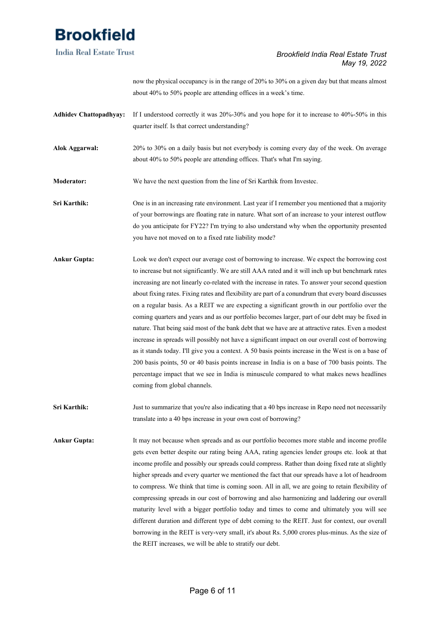**India Real Estate Trust** 

### *Brookfield India Real Estate Trust May 19, 2022*

now the physical occupancy is in the range of 20% to 30% on a given day but that means almost about 40% to 50% people are attending offices in a week's time.

- **Adhidev Chattopadhyay:** If I understood correctly it was 20%-30% and you hope for it to increase to 40%-50% in this quarter itself. Is that correct understanding?
- **Alok Aggarwal:** 20% to 30% on a daily basis but not everybody is coming every day of the week. On average about 40% to 50% people are attending offices. That's what I'm saying.
- **Moderator:** We have the next question from the line of Sri Karthik from Investec.
- **Sri Karthik:** One is in an increasing rate environment. Last year if I remember you mentioned that a majority of your borrowings are floating rate in nature. What sort of an increase to your interest outflow do you anticipate for FY22? I'm trying to also understand why when the opportunity presented you have not moved on to a fixed rate liability mode?
- **Ankur Gupta:** Look we don't expect our average cost of borrowing to increase. We expect the borrowing cost to increase but not significantly. We are still AAA rated and it will inch up but benchmark rates increasing are not linearly co-related with the increase in rates. To answer your second question about fixing rates. Fixing rates and flexibility are part of a conundrum that every board discusses on a regular basis. As a REIT we are expecting a significant growth in our portfolio over the coming quarters and years and as our portfolio becomes larger, part of our debt may be fixed in nature. That being said most of the bank debt that we have are at attractive rates. Even a modest increase in spreads will possibly not have a significant impact on our overall cost of borrowing as it stands today. I'll give you a context. A 50 basis points increase in the West is on a base of 200 basis points, 50 or 40 basis points increase in India is on a base of 700 basis points. The percentage impact that we see in India is minuscule compared to what makes news headlines coming from global channels.
- **Sri Karthik:** Just to summarize that you're also indicating that a 40 bps increase in Repo need not necessarily translate into a 40 bps increase in your own cost of borrowing?
- **Ankur Gupta:** It may not because when spreads and as our portfolio becomes more stable and income profile gets even better despite our rating being AAA, rating agencies lender groups etc. look at that income profile and possibly our spreads could compress. Rather than doing fixed rate at slightly higher spreads and every quarter we mentioned the fact that our spreads have a lot of headroom to compress. We think that time is coming soon. All in all, we are going to retain flexibility of compressing spreads in our cost of borrowing and also harmonizing and laddering our overall maturity level with a bigger portfolio today and times to come and ultimately you will see different duration and different type of debt coming to the REIT. Just for context, our overall borrowing in the REIT is very-very small, it's about Rs. 5,000 crores plus-minus. As the size of the REIT increases, we will be able to stratify our debt.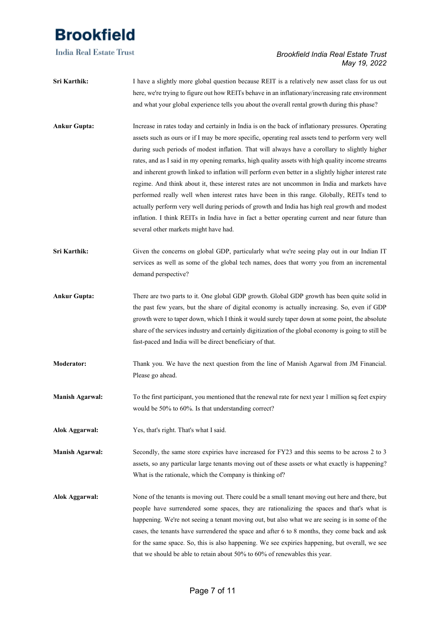**India Real Estate Trust** 

### *Brookfield India Real Estate Trust May 19, 2022*

- **Sri Karthik:** I have a slightly more global question because REIT is a relatively new asset class for us out here, we're trying to figure out how REITs behave in an inflationary/increasing rate environment and what your global experience tells you about the overall rental growth during this phase?
- **Ankur Gupta:** Increase in rates today and certainly in India is on the back of inflationary pressures. Operating assets such as ours or if I may be more specific, operating real assets tend to perform very well during such periods of modest inflation. That will always have a corollary to slightly higher rates, and as I said in my opening remarks, high quality assets with high quality income streams and inherent growth linked to inflation will perform even better in a slightly higher interest rate regime. And think about it, these interest rates are not uncommon in India and markets have performed really well when interest rates have been in this range. Globally, REITs tend to actually perform very well during periods of growth and India has high real growth and modest inflation. I think REITs in India have in fact a better operating current and near future than several other markets might have had.
- Sri Karthik: Given the concerns on global GDP, particularly what we're seeing play out in our Indian IT services as well as some of the global tech names, does that worry you from an incremental demand perspective?
- **Ankur Gupta:** There are two parts to it. One global GDP growth. Global GDP growth has been quite solid in the past few years, but the share of digital economy is actually increasing. So, even if GDP growth were to taper down, which I think it would surely taper down at some point, the absolute share of the services industry and certainly digitization of the global economy is going to still be fast-paced and India will be direct beneficiary of that.
- **Moderator:** Thank you. We have the next question from the line of Manish Agarwal from JM Financial. Please go ahead.
- **Manish Agarwal:** To the first participant, you mentioned that the renewal rate for next year 1 million sq feet expiry would be 50% to 60%. Is that understanding correct?
- **Alok Aggarwal:** Yes, that's right. That's what I said.
- **Manish Agarwal:** Secondly, the same store expiries have increased for FY23 and this seems to be across 2 to 3 assets, so any particular large tenants moving out of these assets or what exactly is happening? What is the rationale, which the Company is thinking of?
- **Alok Aggarwal:** None of the tenants is moving out. There could be a small tenant moving out here and there, but people have surrendered some spaces, they are rationalizing the spaces and that's what is happening. We're not seeing a tenant moving out, but also what we are seeing is in some of the cases, the tenants have surrendered the space and after 6 to 8 months, they come back and ask for the same space. So, this is also happening. We see expiries happening, but overall, we see that we should be able to retain about 50% to 60% of renewables this year.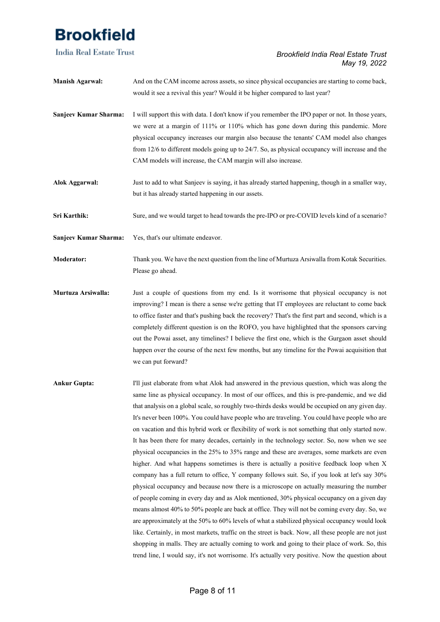**India Real Estate Trust** 

### *Brookfield India Real Estate Trust May 19, 2022*

| <b>Manish Agarwal:</b> | And on the CAM income across assets, so since physical occupancies are starting to come back,<br>would it see a revival this year? Would it be higher compared to last year?                                                                                                                                                                                                                                                                                                                                                                                                                                              |
|------------------------|---------------------------------------------------------------------------------------------------------------------------------------------------------------------------------------------------------------------------------------------------------------------------------------------------------------------------------------------------------------------------------------------------------------------------------------------------------------------------------------------------------------------------------------------------------------------------------------------------------------------------|
| Sanjeev Kumar Sharma:  | I will support this with data. I don't know if you remember the IPO paper or not. In those years,<br>we were at a margin of 111% or 110% which has gone down during this pandemic. More<br>physical occupancy increases our margin also because the tenants' CAM model also changes<br>from 12/6 to different models going up to 24/7. So, as physical occupancy will increase and the<br>CAM models will increase, the CAM margin will also increase.                                                                                                                                                                    |
| <b>Alok Aggarwal:</b>  | Just to add to what Sanjeev is saying, it has already started happening, though in a smaller way,<br>but it has already started happening in our assets.                                                                                                                                                                                                                                                                                                                                                                                                                                                                  |
| Sri Karthik:           | Sure, and we would target to head towards the pre-IPO or pre-COVID levels kind of a scenario?                                                                                                                                                                                                                                                                                                                                                                                                                                                                                                                             |
| Sanjeev Kumar Sharma:  | Yes, that's our ultimate endeavor.                                                                                                                                                                                                                                                                                                                                                                                                                                                                                                                                                                                        |
| <b>Moderator:</b>      | Thank you. We have the next question from the line of Murtuza Arsiwalla from Kotak Securities.<br>Please go ahead.                                                                                                                                                                                                                                                                                                                                                                                                                                                                                                        |
| Murtuza Arsiwalla:     | Just a couple of questions from my end. Is it worrisome that physical occupancy is not<br>improving? I mean is there a sense we're getting that IT employees are reluctant to come back<br>to office faster and that's pushing back the recovery? That's the first part and second, which is a<br>completely different question is on the ROFO, you have highlighted that the sponsors carving<br>out the Powai asset, any timelines? I believe the first one, which is the Gurgaon asset should<br>happen over the course of the next few months, but any timeline for the Powai acquisition that<br>we can put forward? |
| <b>Ankur Gupta:</b>    | I'll just elaborate from what Alok had answered in the previous question, which was along the<br>same line as physical occupancy. In most of our offices, and this is pre-pandemic, and we did<br>that analysis on a global scale, so roughly two-thirds desks would be occupied on any given day.<br>It's never been 100%. You could have people who are traveling. You could have people who are<br>on vacation and this hybrid work or flexibility of work is not something that only started now.                                                                                                                     |

It has been there for many decades, certainly in the technology sector. So, now when we see physical occupancies in the 25% to 35% range and these are averages, some markets are even higher. And what happens sometimes is there is actually a positive feedback loop when X company has a full return to office, Y company follows suit. So, if you look at let's say 30% physical occupancy and because now there is a microscope on actually measuring the number of people coming in every day and as Alok mentioned, 30% physical occupancy on a given day means almost 40% to 50% people are back at office. They will not be coming every day. So, we are approximately at the 50% to 60% levels of what a stabilized physical occupancy would look like. Certainly, in most markets, traffic on the street is back. Now, all these people are not just shopping in malls. They are actually coming to work and going to their place of work. So, this trend line, I would say, it's not worrisome. It's actually very positive. Now the question about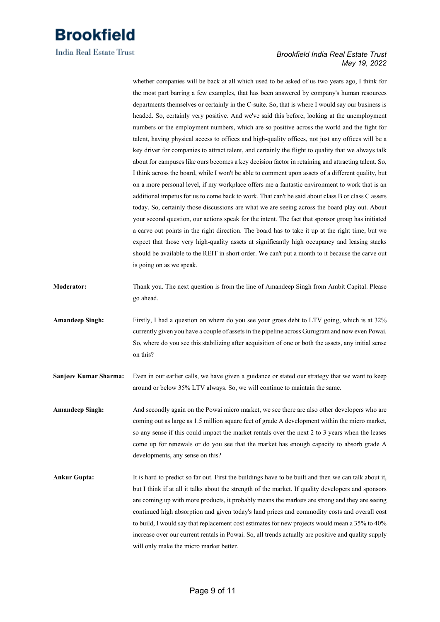

### *Brookfield India Real Estate Trust May 19, 2022*

whether companies will be back at all which used to be asked of us two years ago, I think for the most part barring a few examples, that has been answered by company's human resources departments themselves or certainly in the C-suite. So, that is where I would say our business is headed. So, certainly very positive. And we've said this before, looking at the unemployment numbers or the employment numbers, which are so positive across the world and the fight for talent, having physical access to offices and high-quality offices, not just any offices will be a key driver for companies to attract talent, and certainly the flight to quality that we always talk about for campuses like ours becomes a key decision factor in retaining and attracting talent. So, I think across the board, while I won't be able to comment upon assets of a different quality, but on a more personal level, if my workplace offers me a fantastic environment to work that is an additional impetus for us to come back to work. That can't be said about class B or class C assets today. So, certainly those discussions are what we are seeing across the board play out. About your second question, our actions speak for the intent. The fact that sponsor group has initiated a carve out points in the right direction. The board has to take it up at the right time, but we expect that those very high-quality assets at significantly high occupancy and leasing stacks should be available to the REIT in short order. We can't put a month to it because the carve out is going on as we speak.

- **Moderator:** Thank you. The next question is from the line of Amandeep Singh from Ambit Capital. Please go ahead.
- **Amandeep Singh:** Firstly, I had a question on where do you see your gross debt to LTV going, which is at 32% currently given you have a couple of assets in the pipeline across Gurugram and now even Powai. So, where do you see this stabilizing after acquisition of one or both the assets, any initial sense on this?
- **Sanjeev Kumar Sharma:** Even in our earlier calls, we have given a guidance or stated our strategy that we want to keep around or below 35% LTV always. So, we will continue to maintain the same.
- **Amandeep Singh:** And secondly again on the Powai micro market, we see there are also other developers who are coming out as large as 1.5 million square feet of grade A development within the micro market, so any sense if this could impact the market rentals over the next 2 to 3 years when the leases come up for renewals or do you see that the market has enough capacity to absorb grade A developments, any sense on this?
- **Ankur Gupta:** It is hard to predict so far out. First the buildings have to be built and then we can talk about it, but I think if at all it talks about the strength of the market. If quality developers and sponsors are coming up with more products, it probably means the markets are strong and they are seeing continued high absorption and given today's land prices and commodity costs and overall cost to build, I would say that replacement cost estimates for new projects would mean a 35% to 40% increase over our current rentals in Powai. So, all trends actually are positive and quality supply will only make the micro market better.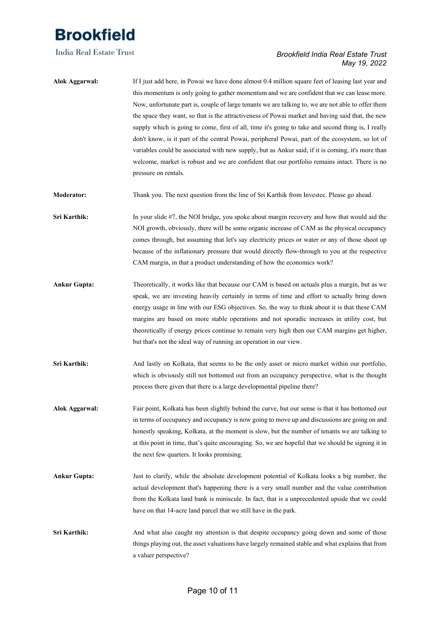

### *Brookfield India Real Estate Trust May 19, 2022*

**Alok Aggarwal:** If I just add here, in Powai we have done almost 0.4 million square feet of leasing last year and this momentum is only going to gather momentum and we are confident that we can lease more. Now, unfortunate part is, couple of large tenants we are talking to, we are not able to offer them the space they want, so that is the attractiveness of Powai market and having said that, the new supply which is going to come, first of all, time it's going to take and second thing is, I really don't know, is it part of the central Powai, peripheral Powai, part of the ecosystem, so lot of variables could be associated with new supply, but as Ankur said, if it is coming, it's more than welcome, market is robust and we are confident that our portfolio remains intact. There is no pressure on rentals.

**Moderator:** Thank you. The next question from the line of Sri Karthik from Investec. Please go ahead.

**Sri Karthik:** In your slide #7, the NOI bridge, you spoke about margin recovery and how that would aid the NOI growth, obviously, there will be some organic increase of CAM as the physical occupancy comes through, but assuming that let's say electricity prices or water or any of those shoot up because of the inflationary pressure that would directly flow-through to you at the respective CAM margin, in that a product understanding of how the economics work?

- **Ankur Gupta:** Theoretically, it works like that because our CAM is based on actuals plus a margin, but as we speak, we are investing heavily certainly in terms of time and effort to actually bring down energy usage in line with our ESG objectives. So, the way to think about it is that these CAM margins are based on more stable operations and not sporadic increases in utility cost, but theoretically if energy prices continue to remain very high then our CAM margins get higher, but that's not the ideal way of running an operation in our view.
- **Sri Karthik:** And lastly on Kolkata, that seems to be the only asset or micro market within our portfolio, which is obviously still not bottomed out from an occupancy perspective, what is the thought process there given that there is a large developmental pipeline there?
- **Alok Aggarwal:** Fair point, Kolkata has been slightly behind the curve, but our sense is that it has bottomed out in terms of occupancy and occupancy is now going to move up and discussions are going on and honestly speaking, Kolkata, at the moment is slow, but the number of tenants we are talking to at this point in time, that's quite encouraging. So, we are hopeful that we should be signing it in the next few quarters. It looks promising.
- **Ankur Gupta:** Just to clarify, while the absolute development potential of Kolkata looks a big number, the actual development that's happening there is a very small number and the value contribution from the Kolkata land bank is miniscule. In fact, that is a unprecedented upside that we could have on that 14-acre land parcel that we still have in the park.
- **Sri Karthik:** And what also caught my attention is that despite occupancy going down and some of those things playing out, the asset valuations have largely remained stable and what explains that from a valuer perspective?